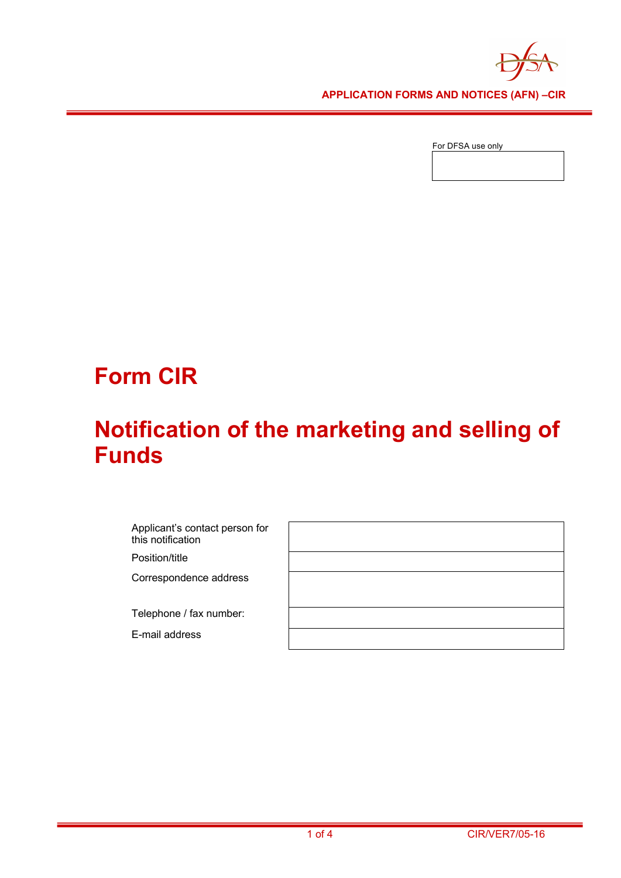

**APPLICATION FORMS AND NOTICES (AFN) –CIR** 

For DFSA use only

# **Form CIR**

## **Notification of the marketing and selling of Funds**

Applicant's contact person for this notification Position/title Correspondence address Telephone / fax number: E-mail address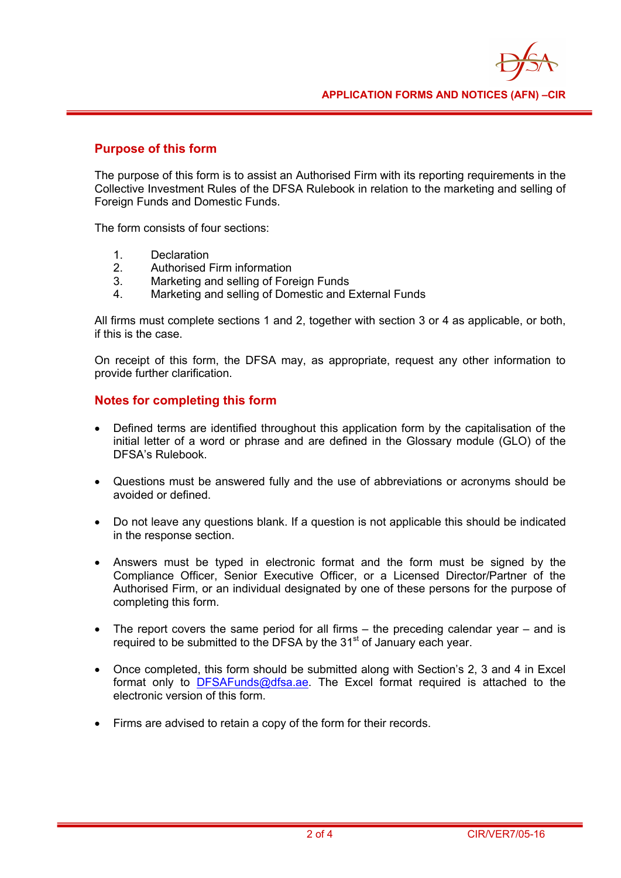## **Purpose of this form**

The purpose of this form is to assist an Authorised Firm with its reporting requirements in the Collective Investment Rules of the DFSA Rulebook in relation to the marketing and selling of Foreign Funds and Domestic Funds.

The form consists of four sections:

- 1. Declaration
- 2. Authorised Firm information
- 3. Marketing and selling of Foreign Funds
- 4. Marketing and selling of Domestic and External Funds

All firms must complete sections 1 and 2, together with section 3 or 4 as applicable, or both, if this is the case.

On receipt of this form, the DFSA may, as appropriate, request any other information to provide further clarification.

## **Notes for completing this form**

- Defined terms are identified throughout this application form by the capitalisation of the initial letter of a word or phrase and are defined in the Glossary module (GLO) of the DFSA's Rulebook.
- Questions must be answered fully and the use of abbreviations or acronyms should be avoided or defined.
- Do not leave any questions blank. If a question is not applicable this should be indicated in the response section.
- Answers must be typed in electronic format and the form must be signed by the Compliance Officer, Senior Executive Officer, or a Licensed Director/Partner of the Authorised Firm, or an individual designated by one of these persons for the purpose of completing this form.
- The report covers the same period for all firms the preceding calendar year and is required to be submitted to the DFSA by the  $31<sup>st</sup>$  of January each year.
- Once completed, this form should be submitted along with Section's 2, 3 and 4 in Excel format only to DFSAFunds@dfsa.ae. The Excel format required is attached to the electronic version of this form.
- Firms are advised to retain a copy of the form for their records.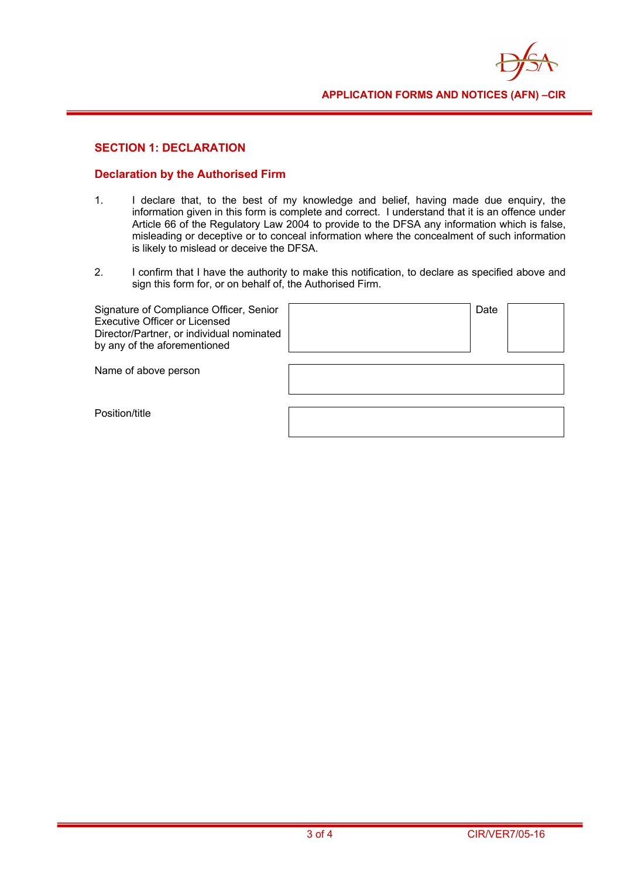

## **SECTION 1: DECLARATION**

#### **Declaration by the Authorised Firm**

- 1. I declare that, to the best of my knowledge and belief, having made due enquiry, the information given in this form is complete and correct. I understand that it is an offence under Article 66 of the Regulatory Law 2004 to provide to the DFSA any information which is false, misleading or deceptive or to conceal information where the concealment of such information is likely to mislead or deceive the DFSA.
- 2. I confirm that I have the authority to make this notification, to declare as specified above and sign this form for, or on behalf of, the Authorised Firm.

| Signature of Compliance Officer, Senior<br>Executive Officer or Licensed<br>Director/Partner, or individual nominated<br>by any of the aforementioned |
|-------------------------------------------------------------------------------------------------------------------------------------------------------|
|-------------------------------------------------------------------------------------------------------------------------------------------------------|

| Date |  |
|------|--|
|      |  |
|      |  |
|      |  |

Name of above person

Position/title